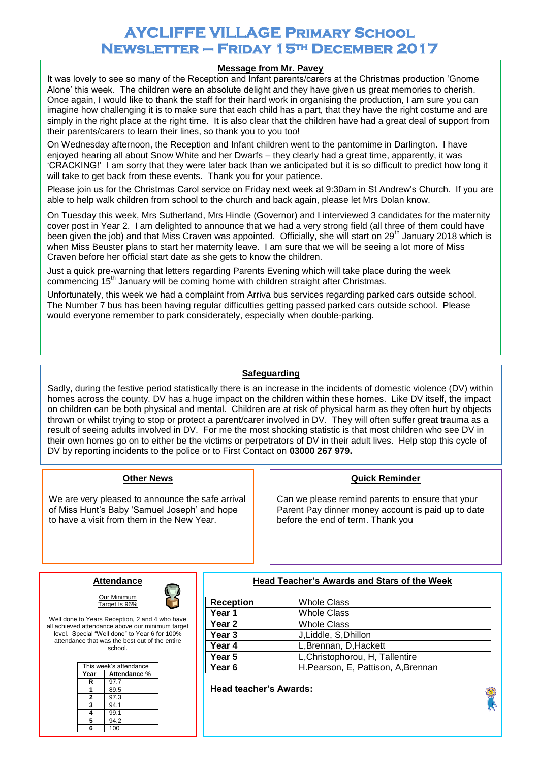# **AYCLIFFE VILLAGE Primary School Newsletter – Friday 15th December 2017**

#### **www. ww Message from Mr. Pavey**

It was lovely to see so many of the Reception and Infant parents/carers at the Christmas production 'Gnome Alone' this week. The children were an absolute delight and they have given us great memories to cherish. Once again, I would like to thank the staff for their hard work in organising the production, I am sure you can imagine how challenging it is to make sure that each child has a part, that they have the right costume and are simply in the right place at the right time. It is also clear that the children have had a great deal of support from their parents/carers to learn their lines, so thank you to you too!

On Wednesday afternoon, the Reception and Infant children went to the pantomime in Darlington. I have enjoyed hearing all about Snow White and her Dwarfs – they clearly had a great time, apparently, it was 'CRACKING!' I am sorry that they were later back than we anticipated but it is so difficult to predict how long it will take to get back from these events. Thank you for your patience.

Please join us for the Christmas Carol service on Friday next week at 9:30am in St Andrew's Church. If you are able to help walk children from school to the church and back again, please let Mrs Dolan know.

On Tuesday this week, Mrs Sutherland, Mrs Hindle (Governor) and I interviewed 3 candidates for the maternity cover post in Year 2. I am delighted to announce that we had a very strong field (all three of them could have been given the job) and that Miss Craven was appointed. Officially, she will start on 29<sup>th</sup> January 2018 which is when Miss Beuster plans to start her maternity leave. I am sure that we will be seeing a lot more of Miss Craven before her official start date as she gets to know the children.

Just a quick pre-warning that letters regarding Parents Evening which will take place during the week commencing 15<sup>th</sup> January will be coming home with children straight after Christmas.

Unfortunately, this week we had a complaint from Arriva bus services regarding parked cars outside school. The Number 7 bus has been having regular difficulties getting passed parked cars outside school. Please would everyone remember to park considerately, especially when double-parking.

## **Safeguarding**

Sadly, during the festive period statistically there is an increase in the incidents of domestic violence (DV) within homes across the county. DV has a huge impact on the children within these homes. Like DV itself, the impact on children can be both physical and mental. Children are at risk of physical harm as they often hurt by objects thrown or whilst trying to stop or protect a parent/carer involved in DV. They will often suffer great trauma as a result of seeing adults involved in DV. For me the most shocking statistic is that most children who see DV in their own homes go on to either be the victims or perpetrators of DV in their adult lives. Help stop this cycle of DV by reporting incidents to the police or to First Contact on **03000 267 979.**

### **Other News**

We are very pleased to announce the safe arrival of Miss Hunt's Baby 'Samuel Joseph' and hope to have a visit from them in the New Year.

### **Quick Reminder**

Can we please remind parents to ensure that your Parent Pay dinner money account is paid up to date before the end of term. Thank you

# **Attendance**  Our Minimum



Well done to Years Reception, 2 and 4 who have all achieved attendance above our minimum target level. Special "Well done" to Year 6 for 100% attendance that was the best out of the entire school.

Target Is 96%

| This week's attendance |              |
|------------------------|--------------|
| Year                   | Attendance % |
| R                      | 97.7         |
|                        | 89.5         |
| 2                      | 97.3         |
| 3                      | 94.1         |
| 4                      | 99.1         |
| 5                      | 94.2         |
| ĥ                      | 100          |

**Head Teacher's Awards and Stars of the Week**

| <b>Reception</b>  | <b>Whole Class</b>                 |
|-------------------|------------------------------------|
| Year 1            | <b>Whole Class</b>                 |
| Year <sub>2</sub> | <b>Whole Class</b>                 |
| Year 3            | J, Liddle, S, Dhillon              |
| Year 4            | L, Brennan, D, Hackett             |
| Year 5            | L, Christophorou, H, Tallentire    |
| Year <sub>6</sub> | H.Pearson, E, Pattison, A, Brennan |

**Head teacher's Awards:**